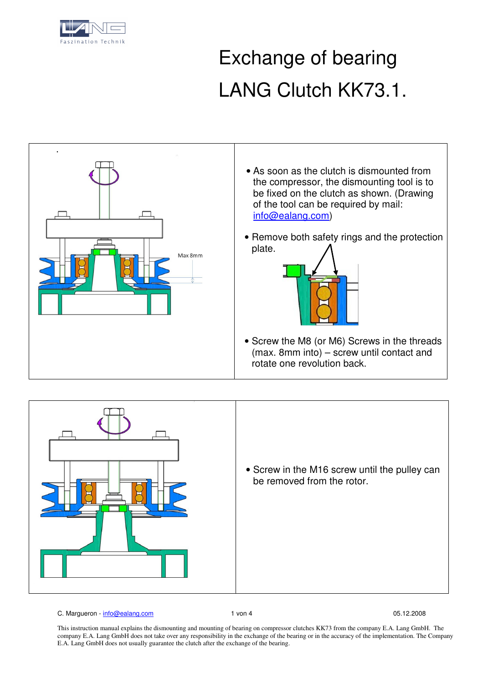

## Exchange of bearing LANG Clutch KK73.1.





C. Margueron - info@ealang.com 1 von 4 05.12.2008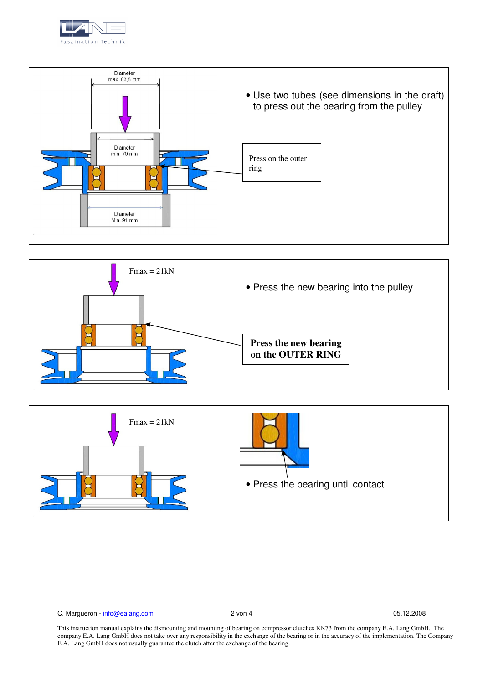





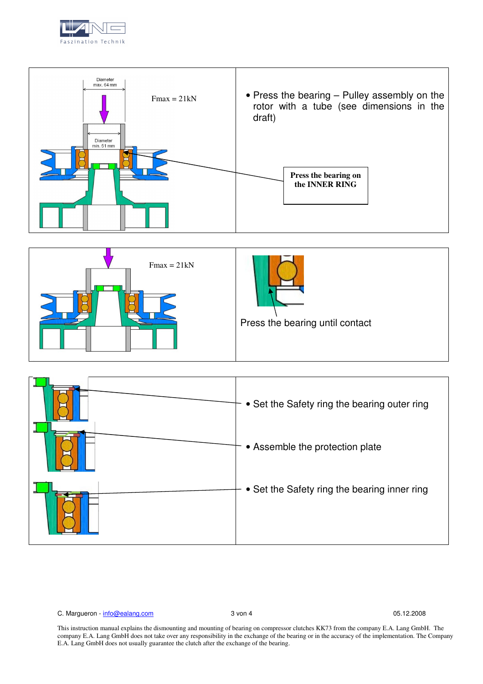